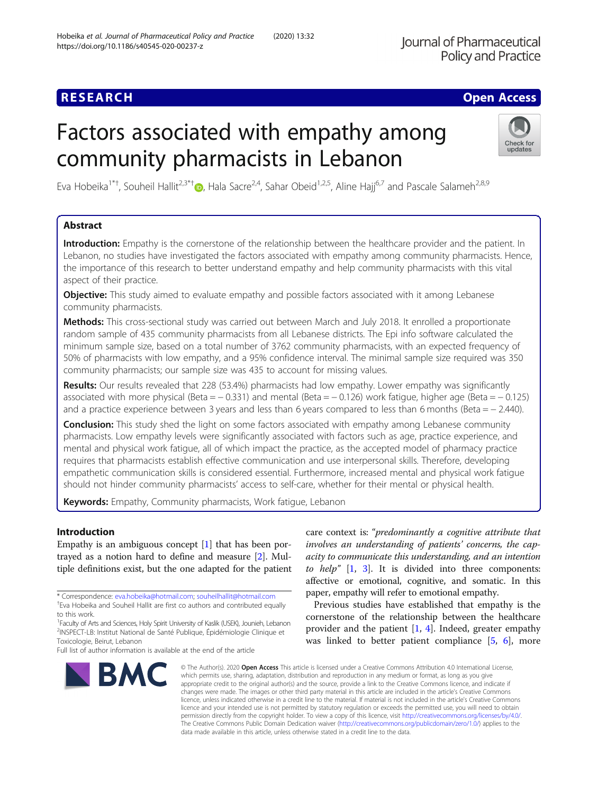## **RESEARCH CHE Open Access**

# Factors associated with empathy among community pharmacists in Lebanon



Eva Hobeika<sup>1\*†</sup>[,](http://orcid.org/0000-0001-6918-5689) Souheil Hallit<sup>2,3\*†</sup>®, Hala Sacre<sup>2,4</sup>, Sahar Obeid<sup>1,2,5</sup>, Aline Hajj<sup>6,7</sup> and Pascale Salameh<sup>2,8,9</sup>

### Abstract

Introduction: Empathy is the cornerstone of the relationship between the healthcare provider and the patient. In Lebanon, no studies have investigated the factors associated with empathy among community pharmacists. Hence, the importance of this research to better understand empathy and help community pharmacists with this vital aspect of their practice.

**Objective:** This study aimed to evaluate empathy and possible factors associated with it among Lebanese community pharmacists.

Methods: This cross-sectional study was carried out between March and July 2018. It enrolled a proportionate random sample of 435 community pharmacists from all Lebanese districts. The Epi info software calculated the minimum sample size, based on a total number of 3762 community pharmacists, with an expected frequency of 50% of pharmacists with low empathy, and a 95% confidence interval. The minimal sample size required was 350 community pharmacists; our sample size was 435 to account for missing values.

Results: Our results revealed that 228 (53.4%) pharmacists had low empathy. Lower empathy was significantly associated with more physical (Beta =  $-0.331$ ) and mental (Beta =  $-0.126$ ) work fatigue, higher age (Beta =  $-0.125$ ) and a practice experience between 3 years and less than 6 years compared to less than 6 months (Beta = − 2.440).

**Conclusion:** This study shed the light on some factors associated with empathy among Lebanese community pharmacists. Low empathy levels were significantly associated with factors such as age, practice experience, and mental and physical work fatigue, all of which impact the practice, as the accepted model of pharmacy practice requires that pharmacists establish effective communication and use interpersonal skills. Therefore, developing empathetic communication skills is considered essential. Furthermore, increased mental and physical work fatigue should not hinder community pharmacists' access to self-care, whether for their mental or physical health.

Keywords: Empathy, Community pharmacists, Work fatique, Lebanon

### Introduction

Empathy is an ambiguous concept [[1](#page-7-0)] that has been portrayed as a notion hard to define and measure [\[2](#page-7-0)]. Multiple definitions exist, but the one adapted for the patient

1 Faculty of Arts and Sciences, Holy Spirit University of Kaslik (USEK), Jounieh, Lebanon<br><sup>2</sup>INSBECT LB: Jostitut National de Santé Publique, Épidémielogie Clinique et <sup>2</sup>INSPECT-LB: Institut National de Santé Publique, Épidémiologie Clinique et Toxicologie, Beirut, Lebanon

Full list of author information is available at the end of the article

**BMC** 



Previous studies have established that empathy is the cornerstone of the relationship between the healthcare provider and the patient  $[1, 4]$  $[1, 4]$  $[1, 4]$ . Indeed, greater empathy was linked to better patient compliance [[5,](#page-7-0) [6](#page-7-0)], more

© The Author(s), 2020 **Open Access** This article is licensed under a Creative Commons Attribution 4.0 International License, which permits use, sharing, adaptation, distribution and reproduction in any medium or format, as long as you give appropriate credit to the original author(s) and the source, provide a link to the Creative Commons licence, and indicate if changes were made. The images or other third party material in this article are included in the article's Creative Commons licence, unless indicated otherwise in a credit line to the material. If material is not included in the article's Creative Commons licence and your intended use is not permitted by statutory regulation or exceeds the permitted use, you will need to obtain permission directly from the copyright holder. To view a copy of this licence, visit [http://creativecommons.org/licenses/by/4.0/.](http://creativecommons.org/licenses/by/4.0/) The Creative Commons Public Domain Dedication waiver [\(http://creativecommons.org/publicdomain/zero/1.0/](http://creativecommons.org/publicdomain/zero/1.0/)) applies to the data made available in this article, unless otherwise stated in a credit line to the data.

<sup>\*</sup> Correspondence: [eva.hobeika@hotmail.com;](mailto:eva.hobeika@hotmail.com) [souheilhallit@hotmail.com](mailto:souheilhallit@hotmail.com) † <sup>+</sup>Eva Hobeika and Souheil Hallit are first co authors and contributed equally to this work.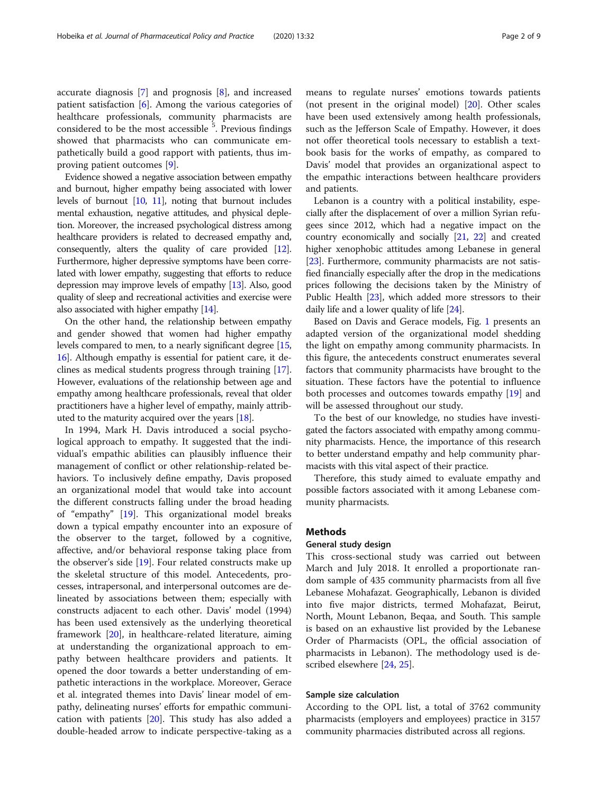accurate diagnosis [\[7\]](#page-7-0) and prognosis [\[8](#page-7-0)], and increased patient satisfaction  $[6]$ . Among the various categories of healthcare professionals, community pharmacists are considered to be the most accessible <sup>5</sup>. Previous findings showed that pharmacists who can communicate empathetically build a good rapport with patients, thus improving patient outcomes [[9\]](#page-7-0).

Evidence showed a negative association between empathy and burnout, higher empathy being associated with lower levels of burnout [\[10,](#page-7-0) [11\]](#page-7-0), noting that burnout includes mental exhaustion, negative attitudes, and physical depletion. Moreover, the increased psychological distress among healthcare providers is related to decreased empathy and, consequently, alters the quality of care provided [\[12](#page-7-0)]. Furthermore, higher depressive symptoms have been correlated with lower empathy, suggesting that efforts to reduce depression may improve levels of empathy [\[13](#page-7-0)]. Also, good quality of sleep and recreational activities and exercise were also associated with higher empathy [\[14](#page-7-0)].

On the other hand, the relationship between empathy and gender showed that women had higher empathy levels compared to men, to a nearly significant degree [[15](#page-7-0), [16](#page-7-0)]. Although empathy is essential for patient care, it declines as medical students progress through training [[17](#page-7-0)]. However, evaluations of the relationship between age and empathy among healthcare professionals, reveal that older practitioners have a higher level of empathy, mainly attributed to the maturity acquired over the years [\[18\]](#page-7-0).

In 1994, Mark H. Davis introduced a social psychological approach to empathy. It suggested that the individual's empathic abilities can plausibly influence their management of conflict or other relationship-related behaviors. To inclusively define empathy, Davis proposed an organizational model that would take into account the different constructs falling under the broad heading of "empathy" [[19](#page-7-0)]. This organizational model breaks down a typical empathy encounter into an exposure of the observer to the target, followed by a cognitive, affective, and/or behavioral response taking place from the observer's side [\[19](#page-7-0)]. Four related constructs make up the skeletal structure of this model. Antecedents, processes, intrapersonal, and interpersonal outcomes are delineated by associations between them; especially with constructs adjacent to each other. Davis' model (1994) has been used extensively as the underlying theoretical framework [[20](#page-7-0)], in healthcare-related literature, aiming at understanding the organizational approach to empathy between healthcare providers and patients. It opened the door towards a better understanding of empathetic interactions in the workplace. Moreover, Gerace et al. integrated themes into Davis' linear model of empathy, delineating nurses' efforts for empathic communication with patients [[20\]](#page-7-0). This study has also added a double-headed arrow to indicate perspective-taking as a means to regulate nurses' emotions towards patients (not present in the original model) [[20\]](#page-7-0). Other scales have been used extensively among health professionals, such as the Jefferson Scale of Empathy. However, it does not offer theoretical tools necessary to establish a textbook basis for the works of empathy, as compared to Davis' model that provides an organizational aspect to the empathic interactions between healthcare providers and patients.

Lebanon is a country with a political instability, especially after the displacement of over a million Syrian refugees since 2012, which had a negative impact on the country economically and socially [\[21,](#page-7-0) [22](#page-7-0)] and created higher xenophobic attitudes among Lebanese in general [[23](#page-7-0)]. Furthermore, community pharmacists are not satisfied financially especially after the drop in the medications prices following the decisions taken by the Ministry of Public Health [\[23\]](#page-7-0), which added more stressors to their daily life and a lower quality of life [[24](#page-7-0)].

Based on Davis and Gerace models, Fig. [1](#page-2-0) presents an adapted version of the organizational model shedding the light on empathy among community pharmacists. In this figure, the antecedents construct enumerates several factors that community pharmacists have brought to the situation. These factors have the potential to influence both processes and outcomes towards empathy [\[19\]](#page-7-0) and will be assessed throughout our study.

To the best of our knowledge, no studies have investigated the factors associated with empathy among community pharmacists. Hence, the importance of this research to better understand empathy and help community pharmacists with this vital aspect of their practice.

Therefore, this study aimed to evaluate empathy and possible factors associated with it among Lebanese community pharmacists.

#### **Methods**

#### General study design

This cross-sectional study was carried out between March and July 2018. It enrolled a proportionate random sample of 435 community pharmacists from all five Lebanese Mohafazat. Geographically, Lebanon is divided into five major districts, termed Mohafazat, Beirut, North, Mount Lebanon, Beqaa, and South. This sample is based on an exhaustive list provided by the Lebanese Order of Pharmacists (OPL, the official association of pharmacists in Lebanon). The methodology used is described elsewhere [[24,](#page-7-0) [25](#page-7-0)].

#### Sample size calculation

According to the OPL list, a total of 3762 community pharmacists (employers and employees) practice in 3157 community pharmacies distributed across all regions.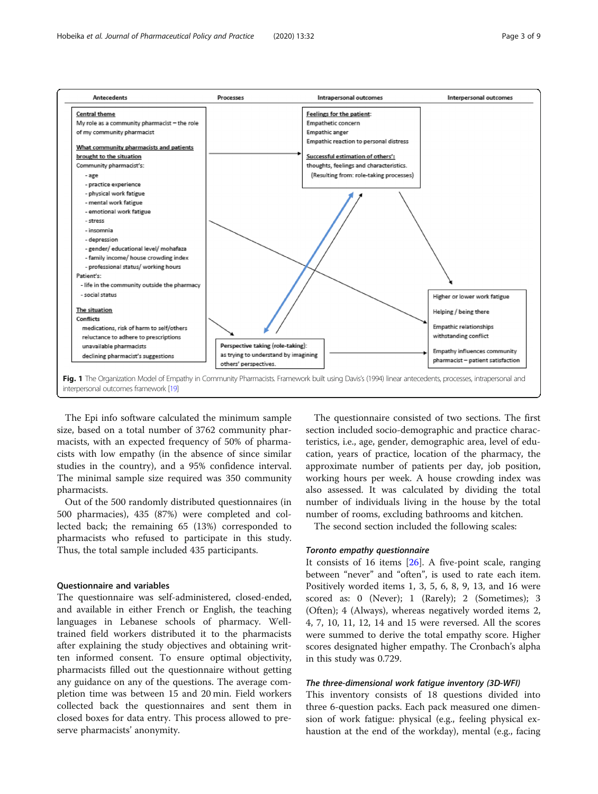<span id="page-2-0"></span>

The Epi info software calculated the minimum sample size, based on a total number of 3762 community pharmacists, with an expected frequency of 50% of pharmacists with low empathy (in the absence of since similar studies in the country), and a 95% confidence interval. The minimal sample size required was 350 community pharmacists.

Out of the 500 randomly distributed questionnaires (in 500 pharmacies), 435 (87%) were completed and collected back; the remaining 65 (13%) corresponded to pharmacists who refused to participate in this study. Thus, the total sample included 435 participants.

#### Questionnaire and variables

The questionnaire was self-administered, closed-ended, and available in either French or English, the teaching languages in Lebanese schools of pharmacy. Welltrained field workers distributed it to the pharmacists after explaining the study objectives and obtaining written informed consent. To ensure optimal objectivity, pharmacists filled out the questionnaire without getting any guidance on any of the questions. The average completion time was between 15 and 20 min. Field workers collected back the questionnaires and sent them in closed boxes for data entry. This process allowed to preserve pharmacists' anonymity.

The questionnaire consisted of two sections. The first section included socio-demographic and practice characteristics, i.e., age, gender, demographic area, level of education, years of practice, location of the pharmacy, the approximate number of patients per day, job position, working hours per week. A house crowding index was also assessed. It was calculated by dividing the total number of individuals living in the house by the total number of rooms, excluding bathrooms and kitchen.

The second section included the following scales:

#### Toronto empathy questionnaire

It consists of 16 items  $[26]$  $[26]$  $[26]$ . A five-point scale, ranging between "never" and "often", is used to rate each item. Positively worded items 1, 3, 5, 6, 8, 9, 13, and 16 were scored as: 0 (Never); 1 (Rarely); 2 (Sometimes); 3 (Often); 4 (Always), whereas negatively worded items 2, 4, 7, 10, 11, 12, 14 and 15 were reversed. All the scores were summed to derive the total empathy score. Higher scores designated higher empathy. The Cronbach's alpha in this study was 0.729.

#### The three-dimensional work fatigue inventory (3D-WFI)

This inventory consists of 18 questions divided into three 6-question packs. Each pack measured one dimension of work fatigue: physical (e.g., feeling physical exhaustion at the end of the workday), mental (e.g., facing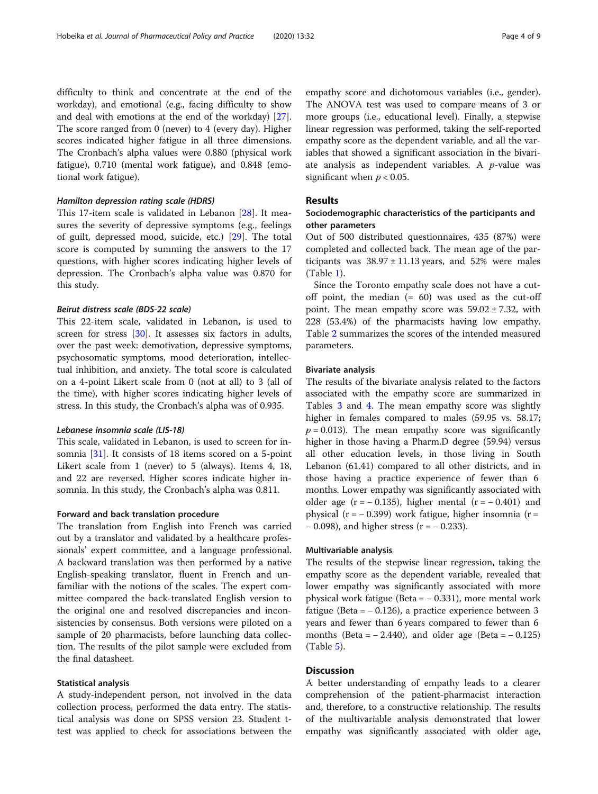difficulty to think and concentrate at the end of the workday), and emotional (e.g., facing difficulty to show and deal with emotions at the end of the workday) [\[27](#page-7-0)]. The score ranged from 0 (never) to 4 (every day). Higher scores indicated higher fatigue in all three dimensions. The Cronbach's alpha values were 0.880 (physical work fatigue), 0.710 (mental work fatigue), and 0.848 (emotional work fatigue).

#### Hamilton depression rating scale (HDRS)

This 17-item scale is validated in Lebanon [\[28\]](#page-7-0). It measures the severity of depressive symptoms (e.g., feelings of guilt, depressed mood, suicide, etc.) [\[29\]](#page-7-0). The total score is computed by summing the answers to the 17 questions, with higher scores indicating higher levels of depression. The Cronbach's alpha value was 0.870 for this study.

#### Beirut distress scale (BDS-22 scale)

This 22-item scale, validated in Lebanon, is used to screen for stress [[30\]](#page-7-0). It assesses six factors in adults, over the past week: demotivation, depressive symptoms, psychosomatic symptoms, mood deterioration, intellectual inhibition, and anxiety. The total score is calculated on a 4-point Likert scale from 0 (not at all) to 3 (all of the time), with higher scores indicating higher levels of stress. In this study, the Cronbach's alpha was of 0.935.

#### Lebanese insomnia scale (LIS-18)

This scale, validated in Lebanon, is used to screen for insomnia [[31\]](#page-7-0). It consists of 18 items scored on a 5-point Likert scale from 1 (never) to 5 (always). Items 4, 18, and 22 are reversed. Higher scores indicate higher insomnia. In this study, the Cronbach's alpha was 0.811.

#### Forward and back translation procedure

The translation from English into French was carried out by a translator and validated by a healthcare professionals' expert committee, and a language professional. A backward translation was then performed by a native English-speaking translator, fluent in French and unfamiliar with the notions of the scales. The expert committee compared the back-translated English version to the original one and resolved discrepancies and inconsistencies by consensus. Both versions were piloted on a sample of 20 pharmacists, before launching data collection. The results of the pilot sample were excluded from the final datasheet.

#### Statistical analysis

A study-independent person, not involved in the data collection process, performed the data entry. The statistical analysis was done on SPSS version 23. Student ttest was applied to check for associations between the

empathy score and dichotomous variables (i.e., gender). The ANOVA test was used to compare means of 3 or more groups (i.e., educational level). Finally, a stepwise linear regression was performed, taking the self-reported empathy score as the dependent variable, and all the variables that showed a significant association in the bivariate analysis as independent variables. A  $p$ -value was significant when  $p < 0.05$ .

#### Results

#### Sociodemographic characteristics of the participants and other parameters

Out of 500 distributed questionnaires, 435 (87%) were completed and collected back. The mean age of the participants was  $38.97 \pm 11.13$  years, and 52% were males (Table [1\)](#page-4-0).

Since the Toronto empathy scale does not have a cutoff point, the median  $(= 60)$  was used as the cut-off point. The mean empathy score was  $59.02 \pm 7.32$ , with 228 (53.4%) of the pharmacists having low empathy. Table [2](#page-4-0) summarizes the scores of the intended measured parameters.

#### Bivariate analysis

The results of the bivariate analysis related to the factors associated with the empathy score are summarized in Tables [3](#page-5-0) and [4.](#page-5-0) The mean empathy score was slightly higher in females compared to males (59.95 vs. 58.17;  $p = 0.013$ ). The mean empathy score was significantly higher in those having a Pharm.D degree (59.94) versus all other education levels, in those living in South Lebanon (61.41) compared to all other districts, and in those having a practice experience of fewer than 6 months. Lower empathy was significantly associated with older age  $(r = -0.135)$ , higher mental  $(r = -0.401)$  and physical ( $r = -0.399$ ) work fatigue, higher insomnia ( $r =$ − 0.098), and higher stress (r = − 0.233).

#### Multivariable analysis

The results of the stepwise linear regression, taking the empathy score as the dependent variable, revealed that lower empathy was significantly associated with more physical work fatigue (Beta = − 0.331), more mental work fatigue (Beta =  $-0.126$ ), a practice experience between 3 years and fewer than 6 years compared to fewer than 6 months (Beta =  $- 2.440$ ), and older age (Beta =  $- 0.125$ ) (Table [5\)](#page-6-0).

#### **Discussion**

A better understanding of empathy leads to a clearer comprehension of the patient-pharmacist interaction and, therefore, to a constructive relationship. The results of the multivariable analysis demonstrated that lower empathy was significantly associated with older age,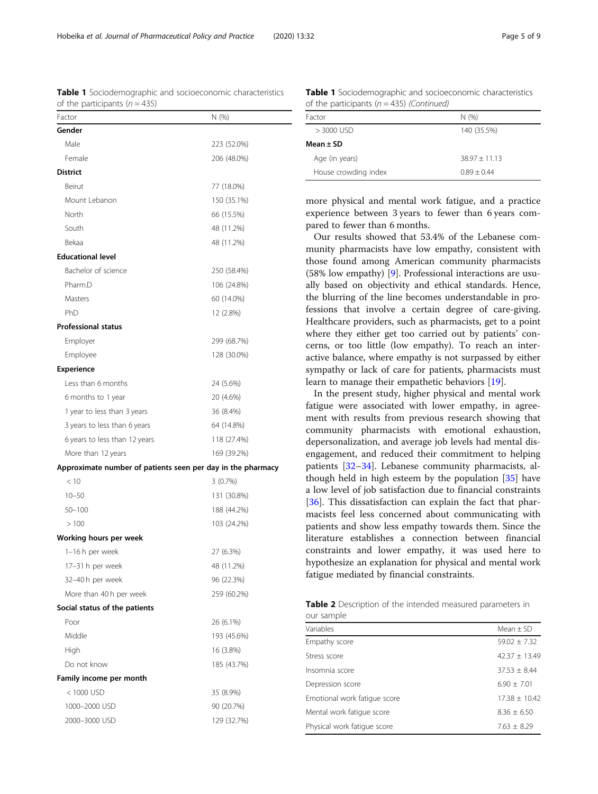<span id="page-4-0"></span>Table 1 Sociodemographic and socioeconomic characteristics of the participants  $(n = 435)$ 

| Factor                                                      | N (%)       |
|-------------------------------------------------------------|-------------|
| Gender                                                      |             |
| Male                                                        | 223 (52.0%) |
| Female                                                      | 206 (48.0%) |
| <b>District</b>                                             |             |
| Beirut                                                      | 77 (18.0%)  |
| Mount Lebanon                                               | 150 (35.1%) |
| North                                                       | 66 (15.5%)  |
| South                                                       | 48 (11.2%)  |
| Bekaa                                                       | 48 (11.2%)  |
| <b>Educational level</b>                                    |             |
| Bachelor of science                                         | 250 (58.4%) |
| Pharm.D                                                     | 106 (24.8%) |
| Masters                                                     | 60 (14.0%)  |
| PhD                                                         | 12 (2.8%)   |
| <b>Professional status</b>                                  |             |
| Employer                                                    | 299 (68.7%) |
| Employee                                                    | 128 (30.0%) |
| Experience                                                  |             |
| Less than 6 months                                          | 24 (5.6%)   |
| 6 months to 1 year                                          | 20 (4.6%)   |
| 1 year to less than 3 years                                 | 36 (8.4%)   |
| 3 years to less than 6 years                                | 64 (14.8%)  |
| 6 years to less than 12 years                               | 118 (27.4%) |
| More than 12 years                                          | 169 (39.2%) |
| Approximate number of patients seen per day in the pharmacy |             |
| < 10                                                        | 3(0.7%)     |
| $10 - 50$                                                   | 131 (30.8%) |
| $50 - 100$                                                  | 188 (44.2%) |
| >100                                                        | 103 (24.2%) |
| Working hours per week                                      |             |
| 1-16 h per week                                             | 27 (6.3%)   |
| 17-31 h per week                                            | 48 (11.2%)  |
| 32-40 h per week                                            | 96 (22.3%)  |
| More than 40 h per week                                     | 259 (60.2%) |
| Social status of the patients                               |             |
| Poor                                                        | 26 (6.1%)   |
| Middle                                                      | 193 (45.6%) |
| High                                                        | 16 (3.8%)   |
| Do not know                                                 | 185 (43.7%) |
| Family income per month                                     |             |
| < 1000 USD                                                  | 35 (8.9%)   |
| 1000-2000 USD                                               | 90 (20.7%)  |
| 2000-3000 USD                                               | 129 (32.7%) |

Table 1 Sociodemographic and socioeconomic characteristics of the participants ( $n = 435$ ) (Continued)

| Factor               | N(96)           |
|----------------------|-----------------|
| $>$ 3000 USD         | 140 (35.5%)     |
| Mean ± SD            |                 |
| Age (in years)       | $38.97 + 11.13$ |
| House crowding index | $0.89 + 0.44$   |

more physical and mental work fatigue, and a practice experience between 3 years to fewer than 6 years compared to fewer than 6 months.

Our results showed that 53.4% of the Lebanese community pharmacists have low empathy, consistent with those found among American community pharmacists (58% low empathy) [\[9](#page-7-0)]. Professional interactions are usually based on objectivity and ethical standards. Hence, the blurring of the line becomes understandable in professions that involve a certain degree of care-giving. Healthcare providers, such as pharmacists, get to a point where they either get too carried out by patients' concerns, or too little (low empathy). To reach an interactive balance, where empathy is not surpassed by either sympathy or lack of care for patients, pharmacists must learn to manage their empathetic behaviors [[19\]](#page-7-0).

In the present study, higher physical and mental work fatigue were associated with lower empathy, in agreement with results from previous research showing that community pharmacists with emotional exhaustion, depersonalization, and average job levels had mental disengagement, and reduced their commitment to helping patients [\[32](#page-7-0)–[34\]](#page-7-0). Lebanese community pharmacists, although held in high esteem by the population [\[35](#page-7-0)] have a low level of job satisfaction due to financial constraints [[36\]](#page-7-0). This dissatisfaction can explain the fact that pharmacists feel less concerned about communicating with patients and show less empathy towards them. Since the literature establishes a connection between financial constraints and lower empathy, it was used here to hypothesize an explanation for physical and mental work fatigue mediated by financial constraints.

|            |  |  |  | Table 2 Description of the intended measured parameters in |  |
|------------|--|--|--|------------------------------------------------------------|--|
| our sample |  |  |  |                                                            |  |

| <b>UUI JUIIINIC</b>          |                   |
|------------------------------|-------------------|
| Variables                    | Mean $\pm$ SD     |
| Empathy score                | $59.02 \pm 7.32$  |
| Stress score                 | $42.37 \pm 13.49$ |
| Insomnia score               | $37.53 \pm 8.44$  |
| Depression score             | $6.90 \pm 7.01$   |
| Emotional work fatique score | $17.38 \pm 10.42$ |
| Mental work fatique score    | $8.36 \pm 6.50$   |
| Physical work fatique score  | $7.63 \pm 8.29$   |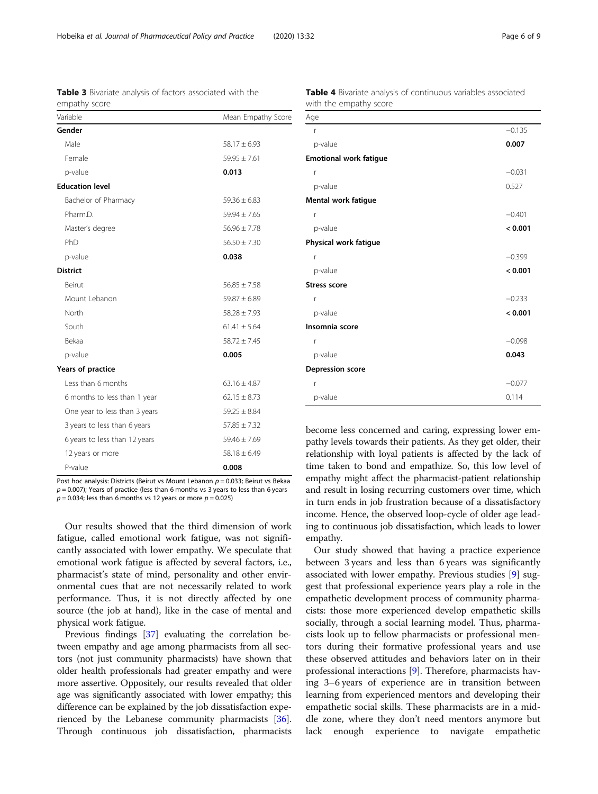Post hoc analysis: Districts (Beirut vs Mount Lebanon  $p = 0.033$ ; Beirut vs Bekaa  $p = 0.007$ ; Years of practice (less than 6 months vs 3 years to less than 6 years

Our results showed that the third dimension of work fatigue, called emotional work fatigue, was not significantly associated with lower empathy. We speculate that emotional work fatigue is affected by several factors, i.e., pharmacist's state of mind, personality and other environmental cues that are not necessarily related to work performance. Thus, it is not directly affected by one source (the job at hand), like in the case of mental and physical work fatigue.

Previous findings [\[37\]](#page-8-0) evaluating the correlation between empathy and age among pharmacists from all sectors (not just community pharmacists) have shown that older health professionals had greater empathy and were more assertive. Oppositely, our results revealed that older age was significantly associated with lower empathy; this difference can be explained by the job dissatisfaction expe-rienced by the Lebanese community pharmacists [[36](#page-7-0)]. Through continuous job dissatisfaction, pharmacists become less concerned and caring, expressing lower empathy levels towards their patients. As they get older, their relationship with loyal patients is affected by the lack of time taken to bond and empathize. So, this low level of empathy might affect the pharmacist-patient relationship and result in losing recurring customers over time, which in turn ends in job frustration because of a dissatisfactory income. Hence, the observed loop-cycle of older age leading to continuous job dissatisfaction, which leads to lower empathy.

Our study showed that having a practice experience between 3 years and less than 6 years was significantly associated with lower empathy. Previous studies [[9\]](#page-7-0) suggest that professional experience years play a role in the empathetic development process of community pharmacists: those more experienced develop empathetic skills socially, through a social learning model. Thus, pharmacists look up to fellow pharmacists or professional mentors during their formative professional years and use these observed attitudes and behaviors later on in their professional interactions [[9](#page-7-0)]. Therefore, pharmacists having 3–6 years of experience are in transition between learning from experienced mentors and developing their empathetic social skills. These pharmacists are in a middle zone, where they don't need mentors anymore but lack enough experience to navigate empathetic

<span id="page-5-0"></span>Table 3 Bivariate analysis of factors associated with the empathy score

| Variable                      | Mean Empathy Score |
|-------------------------------|--------------------|
| Gender                        |                    |
| Male                          | $58.17 \pm 6.93$   |
| Female                        | $59.95 \pm 7.61$   |
| p-value                       | 0.013              |
| <b>Education level</b>        |                    |
| Bachelor of Pharmacy          | $59.36 \pm 6.83$   |
| Pharm.D.                      | $59.94 \pm 7.65$   |
| Master's degree               | $56.96 \pm 7.78$   |
| PhD                           | $56.50 \pm 7.30$   |
| p-value                       | 0.038              |
| <b>District</b>               |                    |
| Beirut                        | $56.85 \pm 7.58$   |
| Mount Lebanon                 | $59.87 \pm 6.89$   |
| North                         | $58.28 \pm 7.93$   |
| South                         | $61.41 \pm 5.64$   |
| <b>Bekaa</b>                  | $58.72 + 7.45$     |
| p-value                       | 0.005              |
| Years of practice             |                    |
| Less than 6 months            | $63.16 \pm 4.87$   |
| 6 months to less than 1 year  | $62.15 \pm 8.73$   |
| One year to less than 3 years | $59.25 \pm 8.84$   |
| 3 years to less than 6 years  | $57.85 \pm 7.32$   |
| 6 years to less than 12 years | $59.46 \pm 7.69$   |
| 12 years or more              | $58.18 \pm 6.49$   |
| P-value                       | 0.008              |

 $p = 0.034$ ; less than 6 months vs 12 years or more  $p = 0.025$ )

| $-0.135$ |
|----------|
|          |
|          |
| 0.007    |
|          |
| $-0.031$ |
| 0.527    |
|          |
| $-0.401$ |
| < 0.001  |
|          |
| $-0.399$ |
| < 0.001  |
|          |
| $-0.233$ |
| < 0.001  |
|          |
| $-0.098$ |
| 0.043    |
|          |
| $-0.077$ |
| 0.114    |
|          |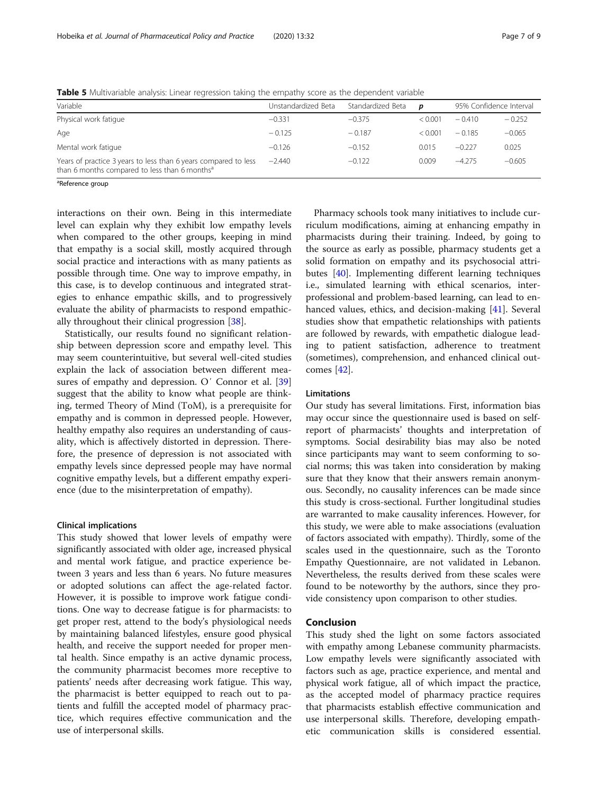| Variable                                                                                                                     | Unstandardized Beta | Standardized Beta | D       | 95% Confidence Interval |          |
|------------------------------------------------------------------------------------------------------------------------------|---------------------|-------------------|---------|-------------------------|----------|
| Physical work fatique                                                                                                        | $-0.331$            | $-0.375$          | < 0.001 | $-0.410$                | $-0.252$ |
| Age                                                                                                                          | $-0.125$            | $-0.187$          | < 0.001 | $-0.185$                | $-0.065$ |
| Mental work fatique                                                                                                          | $-0.126$            | $-0.152$          | 0.015   | $-0.227$                | 0.025    |
| Years of practice 3 years to less than 6 years compared to less<br>than 6 months compared to less than 6 months <sup>a</sup> | $-2.440$            | $-0.122$          | 0.009   | $-4.275$                | $-0.605$ |

<span id="page-6-0"></span>**Table 5** Multivariable analysis: Linear regression taking the empathy score as the dependent variable

<sup>a</sup>Reference group

interactions on their own. Being in this intermediate level can explain why they exhibit low empathy levels when compared to the other groups, keeping in mind that empathy is a social skill, mostly acquired through social practice and interactions with as many patients as possible through time. One way to improve empathy, in this case, is to develop continuous and integrated strategies to enhance empathic skills, and to progressively evaluate the ability of pharmacists to respond empathically throughout their clinical progression [\[38\]](#page-8-0).

Statistically, our results found no significant relationship between depression score and empathy level. This may seem counterintuitive, but several well-cited studies explain the lack of association between different mea-sures of empathy and depression. O' Connor et al. [[39](#page-8-0)] suggest that the ability to know what people are thinking, termed Theory of Mind (ToM), is a prerequisite for empathy and is common in depressed people. However, healthy empathy also requires an understanding of causality, which is affectively distorted in depression. Therefore, the presence of depression is not associated with empathy levels since depressed people may have normal cognitive empathy levels, but a different empathy experience (due to the misinterpretation of empathy).

#### Clinical implications

This study showed that lower levels of empathy were significantly associated with older age, increased physical and mental work fatigue, and practice experience between 3 years and less than 6 years. No future measures or adopted solutions can affect the age-related factor. However, it is possible to improve work fatigue conditions. One way to decrease fatigue is for pharmacists: to get proper rest, attend to the body's physiological needs by maintaining balanced lifestyles, ensure good physical health, and receive the support needed for proper mental health. Since empathy is an active dynamic process, the community pharmacist becomes more receptive to patients' needs after decreasing work fatigue. This way, the pharmacist is better equipped to reach out to patients and fulfill the accepted model of pharmacy practice, which requires effective communication and the use of interpersonal skills.

Pharmacy schools took many initiatives to include curriculum modifications, aiming at enhancing empathy in pharmacists during their training. Indeed, by going to the source as early as possible, pharmacy students get a solid formation on empathy and its psychosocial attributes [[40](#page-8-0)]. Implementing different learning techniques i.e., simulated learning with ethical scenarios, interprofessional and problem-based learning, can lead to enhanced values, ethics, and decision-making [[41\]](#page-8-0). Several studies show that empathetic relationships with patients are followed by rewards, with empathetic dialogue leading to patient satisfaction, adherence to treatment (sometimes), comprehension, and enhanced clinical outcomes [[42\]](#page-8-0).

#### Limitations

Our study has several limitations. First, information bias may occur since the questionnaire used is based on selfreport of pharmacists' thoughts and interpretation of symptoms. Social desirability bias may also be noted since participants may want to seem conforming to social norms; this was taken into consideration by making sure that they know that their answers remain anonymous. Secondly, no causality inferences can be made since this study is cross-sectional. Further longitudinal studies are warranted to make causality inferences. However, for this study, we were able to make associations (evaluation of factors associated with empathy). Thirdly, some of the scales used in the questionnaire, such as the Toronto Empathy Questionnaire, are not validated in Lebanon. Nevertheless, the results derived from these scales were found to be noteworthy by the authors, since they provide consistency upon comparison to other studies.

#### Conclusion

This study shed the light on some factors associated with empathy among Lebanese community pharmacists. Low empathy levels were significantly associated with factors such as age, practice experience, and mental and physical work fatigue, all of which impact the practice, as the accepted model of pharmacy practice requires that pharmacists establish effective communication and use interpersonal skills. Therefore, developing empathetic communication skills is considered essential.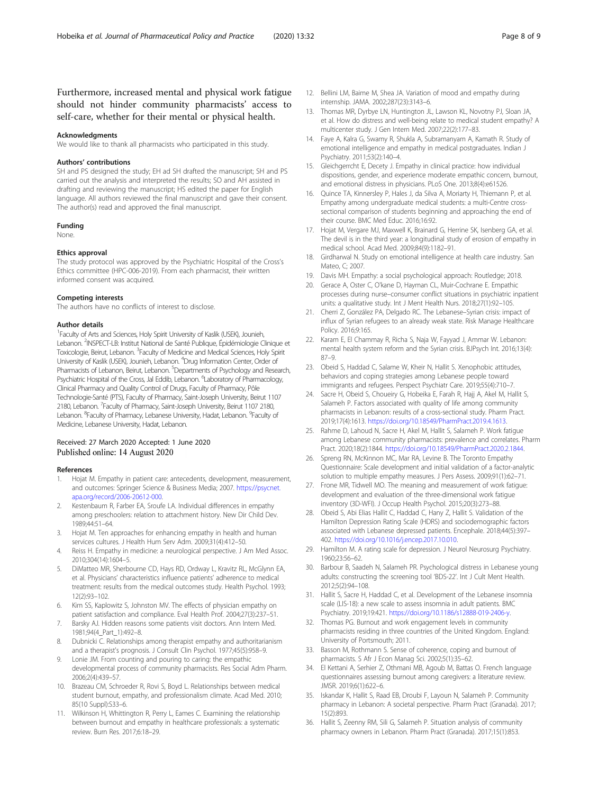<span id="page-7-0"></span>Furthermore, increased mental and physical work fatigue should not hinder community pharmacists' access to self-care, whether for their mental or physical health.

#### Acknowledgments

We would like to thank all pharmacists who participated in this study.

#### Authors' contributions

SH and PS designed the study; EH ad SH drafted the manuscript; SH and PS carried out the analysis and interpreted the results; SO and AH assisted in drafting and reviewing the manuscript; HS edited the paper for English language. All authors reviewed the final manuscript and gave their consent. The author(s) read and approved the final manuscript.

#### Funding

None.

#### Ethics approval

The study protocol was approved by the Psychiatric Hospital of the Cross's Ethics committee (HPC-006-2019). From each pharmacist, their written informed consent was acquired.

#### Competing interests

The authors have no conflicts of interest to disclose.

#### Author details

<sup>1</sup> Faculty of Arts and Sciences, Holy Spirit University of Kaslik (USEK), Jounieh, Lebanon. <sup>2</sup>INSPECT-LB: Institut National de Santé Publique, Épidémiologie Clinique et Toxicologie, Beirut, Lebanon. <sup>3</sup>Faculty of Medicine and Medical Sciences, Holy Spirit University of Kaslik (USEK), Jounieh, Lebanon. <sup>4</sup>Drug Information Center, Order of Pharmacists of Lebanon, Beirut, Lebanon. <sup>5</sup>Departments of Psychology and Research, Psychiatric Hospital of the Cross, Jal Eddib, Lebanon. <sup>6</sup>Laboratory of Pharmacology, Clinical Pharmacy and Quality Control of Drugs, Faculty of Pharmacy, Pôle Technologie-Santé (PTS), Faculty of Pharmacy, Saint-Joseph University, Beirut 1107 2180, Lebanon. <sup>7</sup> Faculty of Pharmacy, Saint-Joseph University, Beirut 1107 2180, Lebanon. <sup>8</sup>Faculty of Pharmacy, Lebanese University, Hadat, Lebanon. <sup>9</sup>Faculty of Medicine, Lebanese University, Hadat, Lebanon.

#### Received: 27 March 2020 Accepted: 1 June 2020 Published online: 14 August 2020

#### References

- 1. Hojat M. Empathy in patient care: antecedents, development, measurement, and outcomes: Springer Science & Business Media; 2007. [https://psycnet.](https://www.psycnet.apa.org/record/2006-20612-000) [apa.org/record/2006-20612-000](https://www.psycnet.apa.org/record/2006-20612-000).
- 2. Kestenbaum R, Farber EA, Sroufe LA. Individual differences in empathy among preschoolers: relation to attachment history. New Dir Child Dev. 1989;44:51–64.
- 3. Hojat M. Ten approaches for enhancing empathy in health and human services cultures. J Health Hum Serv Adm. 2009;31(4):412–50.
- 4. Reiss H. Empathy in medicine: a neurological perspective. J Am Med Assoc. 2010;304(14):1604–5.
- 5. DiMatteo MR, Sherbourne CD, Hays RD, Ordway L, Kravitz RL, McGlynn EA, et al. Physicians' characteristics influence patients' adherence to medical treatment: results from the medical outcomes study. Health Psychol. 1993; 12(2):93–102.
- 6. Kim SS, Kaplowitz S, Johnston MV. The effects of physician empathy on patient satisfaction and compliance. Eval Health Prof. 2004;27(3):237–51.
- 7. Barsky AJ. Hidden reasons some patients visit doctors. Ann Intern Med. 1981;94(4\_Part\_1):492–8.
- 8. Dubnicki C. Relationships among therapist empathy and authoritarianism and a therapist's prognosis. J Consult Clin Psychol. 1977;45(5):958–9.
- 9. Lonie JM. From counting and pouring to caring: the empathic developmental process of community pharmacists. Res Social Adm Pharm. 2006;2(4):439–57.
- 10. Brazeau CM, Schroeder R, Rovi S, Boyd L. Relationships between medical student burnout, empathy, and professionalism climate. Acad Med. 2010; 85(10 Suppl):S33–6.
- 11. Wilkinson H, Whittington R, Perry L, Eames C. Examining the relationship between burnout and empathy in healthcare professionals: a systematic review. Burn Res. 2017;6:18–29.
- 12. Bellini LM, Baime M, Shea JA. Variation of mood and empathy during internship. JAMA. 2002;287(23):3143–6.
- 13. Thomas MR, Dyrbye LN, Huntington JL, Lawson KL, Novotny PJ, Sloan JA, et al. How do distress and well-being relate to medical student empathy? A multicenter study. J Gen Intern Med. 2007;22(2):177–83.
- 14. Faye A, Kalra G, Swamy R, Shukla A, Subramanyam A, Kamath R. Study of emotional intelligence and empathy in medical postgraduates. Indian J Psychiatry. 2011;53(2):140–4.
- 15. Gleichgerrcht E, Decety J. Empathy in clinical practice: how individual dispositions, gender, and experience moderate empathic concern, burnout, and emotional distress in physicians. PLoS One. 2013;8(4):e61526.
- 16. Quince TA, Kinnersley P, Hales J, da Silva A, Moriarty H, Thiemann P, et al. Empathy among undergraduate medical students: a multi-Centre crosssectional comparison of students beginning and approaching the end of their course. BMC Med Educ. 2016;16:92.
- 17. Hojat M, Vergare MJ, Maxwell K, Brainard G, Herrine SK, Isenberg GA, et al. The devil is in the third year: a longitudinal study of erosion of empathy in medical school. Acad Med. 2009;84(9):1182–91.
- 18. Girdharwal N. Study on emotional intelligence at health care industry. San Mateo, C; 2007.
- 19. Davis MH. Empathy: a social psychological approach: Routledge; 2018.
- 20. Gerace A, Oster C, O'kane D, Hayman CL, Muir-Cochrane E. Empathic processes during nurse–consumer conflict situations in psychiatric inpatient units: a qualitative study. Int J Ment Health Nurs. 2018;27(1):92–105.
- 21. Cherri Z, González PA, Delgado RC. The Lebanese–Syrian crisis: impact of influx of Syrian refugees to an already weak state. Risk Manage Healthcare Policy. 2016;9:165.
- 22. Karam E, El Chammay R, Richa S, Naja W, Fayyad J, Ammar W. Lebanon: mental health system reform and the Syrian crisis. BJPsych Int. 2016;13(4): 87–9.
- 23. Obeid S, Haddad C, Salame W, Kheir N, Hallit S. Xenophobic attitudes, behaviors and coping strategies among Lebanese people toward immigrants and refugees. Perspect Psychiatr Care. 2019;55(4):710–7.
- 24. Sacre H, Obeid S, Choueiry G, Hobeika E, Farah R, Hajj A, Akel M, Hallit S, Salameh P. Factors associated with quality of life among community pharmacists in Lebanon: results of a cross-sectional study. Pharm Pract. 2019;17(4):1613. <https://doi.org/10.18549/PharmPract.2019.4.1613>.
- 25. Rahme D, Lahoud N, Sacre H, Akel M, Hallit S, Salameh P. Work fatigue among Lebanese community pharmacists: prevalence and correlates. Pharm Pract. 2020;18(2):1844. <https://doi.org/10.18549/PharmPract.2020.2.1844>.
- 26. Spreng RN, McKinnon MC, Mar RA, Levine B. The Toronto Empathy Questionnaire: Scale development and initial validation of a factor-analytic solution to multiple empathy measures. J Pers Assess. 2009;91(1):62–71.
- 27. Frone MR, Tidwell MO. The meaning and measurement of work fatigue: development and evaluation of the three-dimensional work fatigue inventory (3D-WFI). J Occup Health Psychol. 2015;20(3):273–88.
- 28. Obeid S, Abi Elias Hallit C, Haddad C, Hany Z, Hallit S. Validation of the Hamilton Depression Rating Scale (HDRS) and sociodemographic factors associated with Lebanese depressed patients. Encephale. 2018;44(5):397– 402. <https://doi.org/10.1016/j.encep.2017.10.010>.
- 29. Hamilton M. A rating scale for depression. J Neurol Neurosurg Psychiatry. 1960;23:56–62.
- 30. Barbour B, Saadeh N, Salameh PR. Psychological distress in Lebanese young adults: constructing the screening tool 'BDS-22'. Int J Cult Ment Health. 2012;5(2):94–108.
- 31. Hallit S, Sacre H, Haddad C, et al. Development of the Lebanese insomnia scale (LIS-18): a new scale to assess insomnia in adult patients. BMC Psychiatry. 2019;19:421. [https://doi.org/10.1186/s12888-019-2406-y.](https://doi.org/10.1186/s12888-019-2406-y)
- 32. Thomas PG. Burnout and work engagement levels in community pharmacists residing in three countries of the United Kingdom. England: University of Portsmouth; 2011.
- 33. Basson M, Rothmann S. Sense of coherence, coping and burnout of pharmacists. S Afr J Econ Manag Sci. 2002;5(1):35–62.
- 34. El Kettani A, Serhier Z, Othmani MB, Agoub M, Battas O. French language questionnaires assessing burnout among caregivers: a literature review. JMSR. 2019;6(1):622–6.
- 35. Iskandar K, Hallit S, Raad EB, Droubi F, Layoun N, Salameh P. Community pharmacy in Lebanon: A societal perspective. Pharm Pract (Granada). 2017; 15(2):893.
- 36. Hallit S, Zeenny RM, Sili G, Salameh P. Situation analysis of community pharmacy owners in Lebanon. Pharm Pract (Granada). 2017;15(1):853.